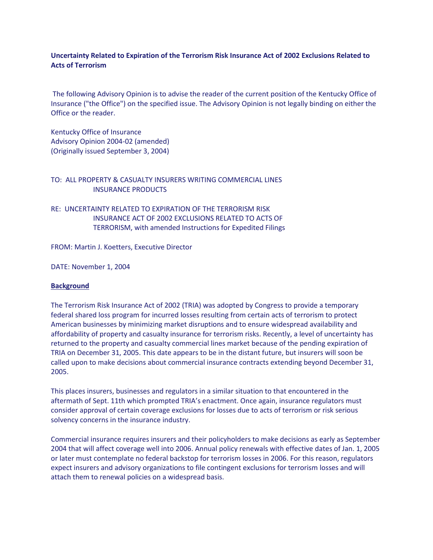# **Uncertainty Related to Expiration of the Terrorism Risk Insurance Act of 2002 Exclusions Related to Acts of Terrorism**

The following Advisory Opinion is to advise the reader of the current position of the Kentucky Office of Insurance ("the Office") on the specified issue. The Advisory Opinion is not legally binding on either the Office or the reader.

Kentucky Office of Insurance Advisory Opinion 2004-02 (amended) (Originally issued September 3, 2004)

### TO: ALL PROPERTY & CASUALTY INSURERS WRITING COMMERCIAL LINES INSURANCE PRODUCTS

RE: UNCERTAINTY RELATED TO EXPIRATION OF THE TERRORISM RISK INSURANCE ACT OF 2002 EXCLUSIONS RELATED TO ACTS OF TERRORISM, with amended Instructions for Expedited Filings

FROM: Martin J. Koetters, Executive Director

DATE: November 1, 2004

#### **Background**

The Terrorism Risk Insurance Act of 2002 (TRIA) was adopted by Congress to provide a temporary federal shared loss program for incurred losses resulting from certain acts of terrorism to protect American businesses by minimizing market disruptions and to ensure widespread availability and affordability of property and casualty insurance for terrorism risks. Recently, a level of uncertainty has returned to the property and casualty commercial lines market because of the pending expiration of TRIA on December 31, 2005. This date appears to be in the distant future, but insurers will soon be called upon to make decisions about commercial insurance contracts extending beyond December 31, 2005.

This places insurers, businesses and regulators in a similar situation to that encountered in the aftermath of Sept. 11th which prompted TRIA's enactment. Once again, insurance regulators must consider approval of certain coverage exclusions for losses due to acts of terrorism or risk serious solvency concerns in the insurance industry.

Commercial insurance requires insurers and their policyholders to make decisions as early as September 2004 that will affect coverage well into 2006. Annual policy renewals with effective dates of Jan. 1, 2005 or later must contemplate no federal backstop for terrorism losses in 2006. For this reason, regulators expect insurers and advisory organizations to file contingent exclusions for terrorism losses and will attach them to renewal policies on a widespread basis.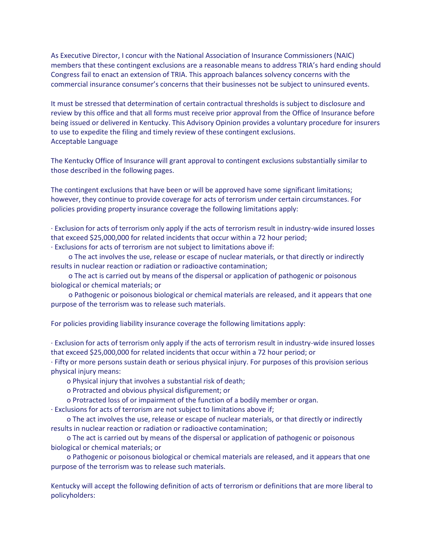As Executive Director, I concur with the National Association of Insurance Commissioners (NAIC) members that these contingent exclusions are a reasonable means to address TRIA's hard ending should Congress fail to enact an extension of TRIA. This approach balances solvency concerns with the commercial insurance consumer's concerns that their businesses not be subject to uninsured events.

It must be stressed that determination of certain contractual thresholds is subject to disclosure and review by this office and that all forms must receive prior approval from the Office of Insurance before being issued or delivered in Kentucky. This Advisory Opinion provides a voluntary procedure for insurers to use to expedite the filing and timely review of these contingent exclusions. Acceptable Language

The Kentucky Office of Insurance will grant approval to contingent exclusions substantially similar to those described in the following pages.

The contingent exclusions that have been or will be approved have some significant limitations; however, they continue to provide coverage for acts of terrorism under certain circumstances. For policies providing property insurance coverage the following limitations apply:

· Exclusion for acts of terrorism only apply if the acts of terrorism result in industry-wide insured losses that exceed \$25,000,000 for related incidents that occur within a 72 hour period;

· Exclusions for acts of terrorism are not subject to limitations above if:

 o The act involves the use, release or escape of nuclear materials, or that directly or indirectly results in nuclear reaction or radiation or radioactive contamination;

 o The act is carried out by means of the dispersal or application of pathogenic or poisonous biological or chemical materials; or

 o Pathogenic or poisonous biological or chemical materials are released, and it appears that one purpose of the terrorism was to release such materials.

For policies providing liability insurance coverage the following limitations apply:

· Exclusion for acts of terrorism only apply if the acts of terrorism result in industry-wide insured losses that exceed \$25,000,000 for related incidents that occur within a 72 hour period; or

· Fifty or more persons sustain death or serious physical injury. For purposes of this provision serious physical injury means:

o Physical injury that involves a substantial risk of death;

- o Protracted and obvious physical disfigurement; or
- o Protracted loss of or impairment of the function of a bodily member or organ.

· Exclusions for acts of terrorism are not subject to limitations above if;

 o The act involves the use, release or escape of nuclear materials, or that directly or indirectly results in nuclear reaction or radiation or radioactive contamination;

 o The act is carried out by means of the dispersal or application of pathogenic or poisonous biological or chemical materials; or

 o Pathogenic or poisonous biological or chemical materials are released, and it appears that one purpose of the terrorism was to release such materials.

Kentucky will accept the following definition of acts of terrorism or definitions that are more liberal to policyholders: